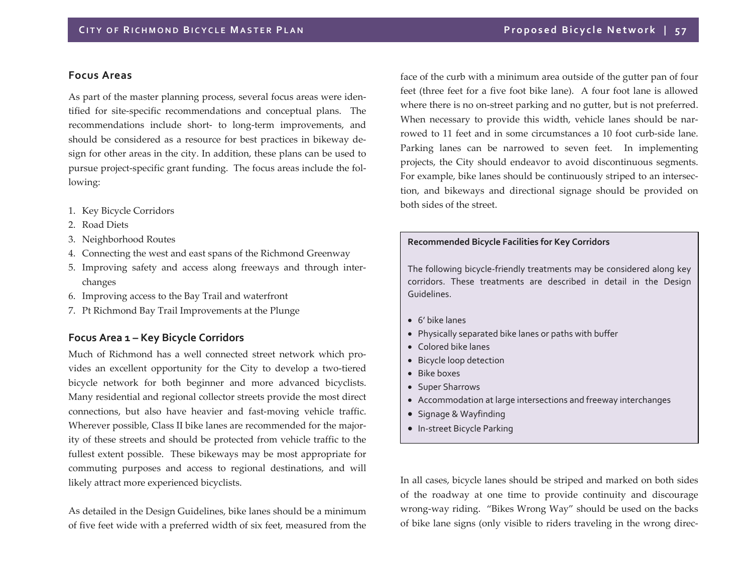### **Focus Areas**

As par<sup>t</sup> of the master planning process, several focus areas were iden‐ tified for site‐specific recommendations and conceptual plans. The recommendations include short‐ to long‐term improvements, and should be considered as <sup>a</sup> resource for best practices in bikeway de‐ sign for other areas in the city. In addition, these plans can be used to pursue project-specific grant funding. The focus areas include the following:

- 1. Key Bicycle Corridors
- 2. Road Diets
- 3. Neighborhood Routes
- 4. Connecting the west and east spans of the Richmond Greenway
- 5. Improving safety and access along freeways and through inter‐ changes
- 6. Improving access to the Bay Trail and waterfront
- 7. Pt Richmond Bay Trail Improvements at the Plunge

### **Focus Area <sup>1</sup> – Key Bicycle Corridors**

Much of Richmond has <sup>a</sup> well connected street network which pro‐ vides an excellent opportunity for the City to develop <sup>a</sup> two‐tiered bicycle network for both beginner and more advanced bicyclists. Many residential and regional collector streets provide the most direct connections, but also have heavier and fast-moving vehicle traffic. Wherever possible, Class II bike lanes are recommended for the major‐ ity of these streets and should be protected from vehicle traffic to the fullest extent possible. These bikeways may be most appropriate for commuting purposes and access to regional destinations, and will likely attract more experienced bicyclists.

As detailed in the Design Guidelines, bike lanes should be <sup>a</sup> minimum of five feet wide with <sup>a</sup> preferred width of six feet, measured from the

face of the curb with a minimum area outside of the gutter pan of four feet (three feet for <sup>a</sup> five foot bike lane). A four foot lane is allowed where there is no on‐street parking and no gutter, but is not preferred. When necessary to provide this width, vehicle lanes should be nar‐ rowed to 11 feet and in some circumstances <sup>a</sup> 10 foot curb‐side lane. Parking lanes can be narrowed to seven feet. In implementing projects, the City should endeavor to avoid discontinuous segments. For example, bike lanes should be continuously striped to an intersec‐ tion, and bikeways and directional signage should be provided on both sides of the street.

#### **Recommended Bicycle Facilities for Key Corridors**

The following bicycle‐friendly treatments may be considered along key corridors. These treatments are described in detail in the Design Guidelines.

- 6' bike lanes
- Physically separated bike lanes or paths with buffer
- Colored bike lanes
- Bicycle loop detection
- Bike boxes
- Super Sharrows
- Accommodation at large intersections and freeway interchanges
- Signage & Wayfinding
- In-street Bicycle Parking

In all cases, bicycle lanes should be striped and marked on both sides of the roadway at one time to provide continuity and discourage wrong‐way riding. "Bikes Wrong Way" should be used on the backs of bike lane signs (only visible to riders traveling in the wrong direc‐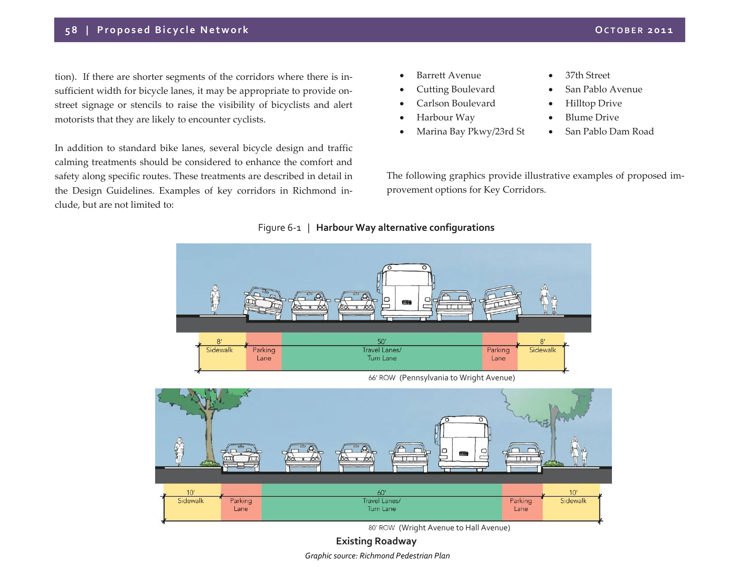# **5 8 | Proposed Bicycle Network OCTOBER <sup>2011</sup>**

tion). If there are shorter segments of the corridors where there is insufficient width for bicycle lanes, it may be appropriate to provide on‐ street signage or stencils to raise the visibility of bicyclists and alert motorists that they are likely to encounter cyclists.

In addition to standard bike lanes, several bicycle design and traffic calming treatments should be considered to enhance the comfort and safety along specific routes. These treatments are described in detail in the Design Guidelines. Examples of key corridors in Richmond in‐ clude, but are not limited to:

- 0 Barrett Avenue
- e Cutting Boulevard
- 0 Carlson Boulevard
- 0 Harbour Way
- 0 Marina Bay Pkwy/23rd St
- $\bullet$ 37th Street
- 0 San Pablo Avenue
- $\bullet$ Hilltop Drive
- $\bullet$ • Blume Drive
- 0 San Pablo Dam Road

The following graphics provide illustrative examples of proposed im‐ provemen<sup>t</sup> options for Key Corridors.

## Figure 6‐<sup>1</sup> | **Harbour Way alternative configurations**



(Pennsylvania to Wright Avenue)



80' ROW (Wright Avenue to Hall Avenue)

**Existing Roadway** *Graphic source: Richmond Pedestrian Plan*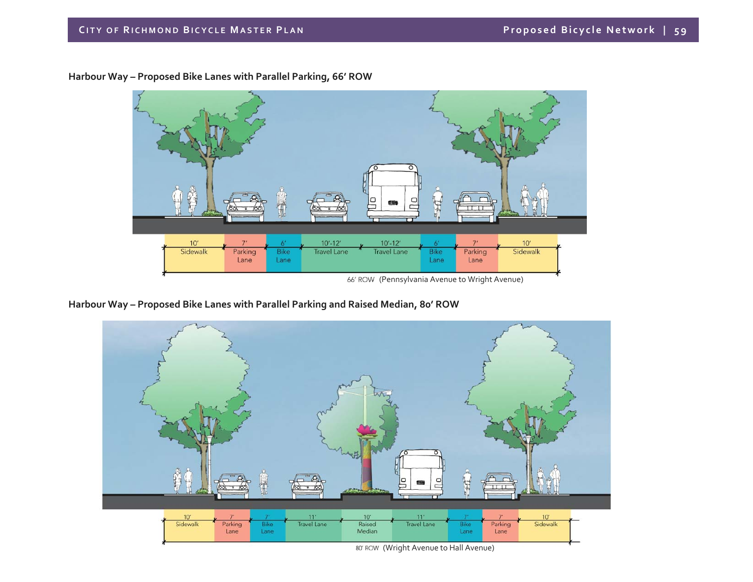

**Harbour Way – Proposed Bike Lanes with Parallel Parking, 66' ROW**

**Harbour Way – Proposed Bike Lanes with Parallel Parking and Raised Median, 80' ROW**



<sup>80&#</sup>x27; ROW (Wright Avenue to Hall Avenue)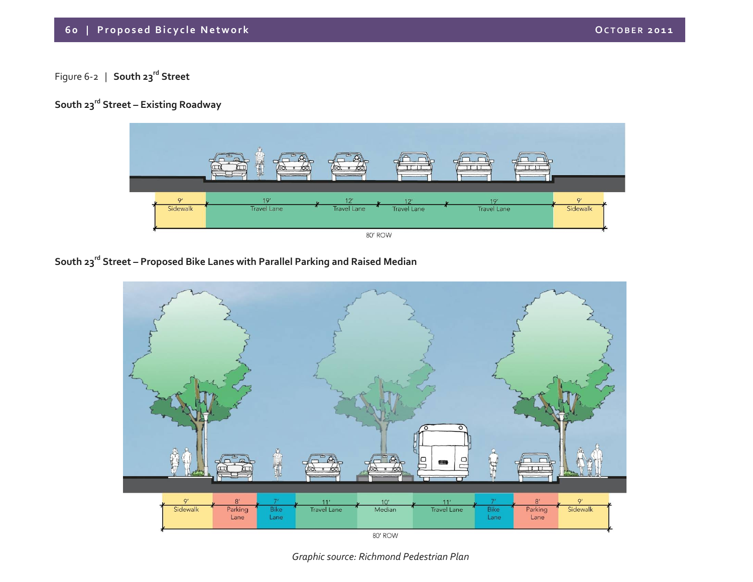### **6 0 | Proposed Bicycle Network OCTOBER <sup>2011</sup>**

# Figure <sup>6</sup>‐<sup>2</sup> | **South <sup>23</sup>rd Street**

# **South <sup>23</sup>rd Street – Existing Roadway**



# **South <sup>23</sup>rd Street – Proposed Bike Lanes with Parallel Parking and Raised Median**



80' ROW

*Graphic source: Richmond Pedestrian Plan*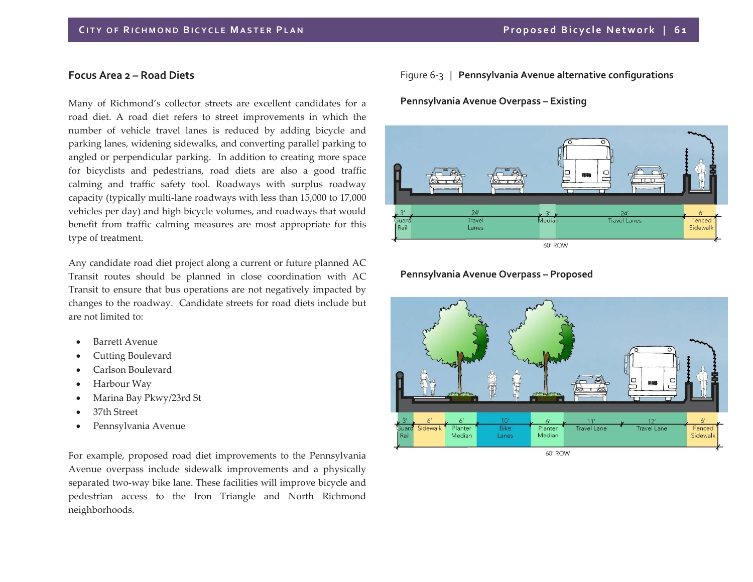### **Focus Area <sup>2</sup> – Road Diets**

Many of Richmond's collector streets are excellent candidates for <sup>a</sup> road diet. A road diet refers to street improvements in which the number of vehicle travel lanes is reduced by adding bicycle and parking lanes, widening sidewalks, and converting parallel parking to angled or perpendicular parking. In addition to creating more space for bicyclists and pedestrians, road diets are also <sup>a</sup> good traffic calming and traffic safety tool. Roadways with surplus roadway capacity (typically multi‐lane roadways with less than 15,000 to 17,000 vehicles per day) and high bicycle volumes, and roadways that would benefit from traffic calming measures are most appropriate for this type of treatment.

Any candidate road diet project along <sup>a</sup> current or future planned AC Transit routes should be planned in close coordination with AC Transit to ensure that bus operations are not negatively impacted by changes to the roadway. Candidate streets for road diets include but are not limited to:

- 0 Barrett Avenue
- 0 Cutting Boulevard
- $\bullet$ Carlson Boulevard
- $\bullet$ Harbour Way
- $\bullet$ Marina Bay Pkwy/23rd St
- 0 37th Street
- $\bullet$ Pennsylvania Avenue

For example, proposed road diet improvements to the Pennsylvania Avenue overpass include sidewalk improvements and <sup>a</sup> physically separated two-way bike lane. These facilities will improve bicycle and pedestrian access to the Iron Triangle and North Richmond neighborhoods.

Figure 6‐3 | **Pennsylvania Avenue alternative configurations**

**Pennsylvania Avenue Overpass – Existing**



### **Pennsylvania Avenue Overpass – Proposed**



60' ROW